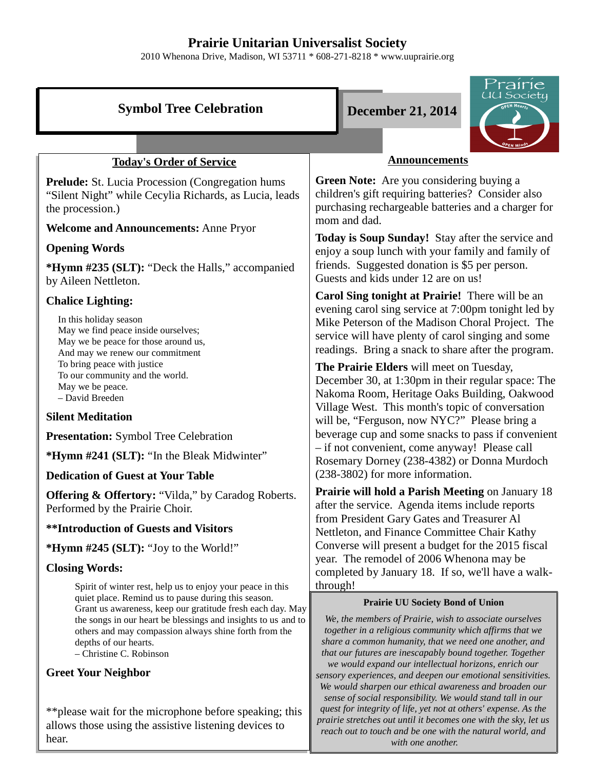# **Prairie Unitarian Universalist Society**

2010 Whenona Drive, Madison, WI 53711 \* 608-271-8218 \* www.uuprairie.org

| <b>Symbol Tree Celebration</b>                                                                                                                                                                                                                    | Prairie<br>JU Society<br><b>December 21, 2014</b>                                                                                                                                                                                                                                                |  |
|---------------------------------------------------------------------------------------------------------------------------------------------------------------------------------------------------------------------------------------------------|--------------------------------------------------------------------------------------------------------------------------------------------------------------------------------------------------------------------------------------------------------------------------------------------------|--|
|                                                                                                                                                                                                                                                   |                                                                                                                                                                                                                                                                                                  |  |
| <b>Today's Order of Service</b>                                                                                                                                                                                                                   | <b>Announcements</b>                                                                                                                                                                                                                                                                             |  |
| <b>Prelude:</b> St. Lucia Procession (Congregation hums)<br>"Silent Night" while Cecylia Richards, as Lucia, leads<br>the procession.)                                                                                                            | Green Note: Are you considering buying a<br>children's gift requiring batteries? Consider also<br>purchasing rechargeable batteries and a charger for<br>mom and dad.                                                                                                                            |  |
| <b>Welcome and Announcements: Anne Pryor</b>                                                                                                                                                                                                      | Today is Soup Sunday! Stay after the service and                                                                                                                                                                                                                                                 |  |
| <b>Opening Words</b>                                                                                                                                                                                                                              | enjoy a soup lunch with your family and family of                                                                                                                                                                                                                                                |  |
| *Hymn #235 (SLT): "Deck the Halls," accompanied<br>by Aileen Nettleton.                                                                                                                                                                           | friends. Suggested donation is \$5 per person.<br>Guests and kids under 12 are on us!                                                                                                                                                                                                            |  |
| <b>Chalice Lighting:</b>                                                                                                                                                                                                                          | Carol Sing tonight at Prairie! There will be an                                                                                                                                                                                                                                                  |  |
| In this holiday season<br>May we find peace inside ourselves;<br>May we be peace for those around us,<br>And may we renew our commitment<br>To bring peace with justice<br>To our community and the world.<br>May we be peace.<br>- David Breeden | evening carol sing service at 7:00pm tonight led by<br>Mike Peterson of the Madison Choral Project. The<br>service will have plenty of carol singing and some<br>readings. Bring a snack to share after the program.                                                                             |  |
|                                                                                                                                                                                                                                                   | The Prairie Elders will meet on Tuesday,<br>December 30, at 1:30pm in their regular space: The<br>Nakoma Room, Heritage Oaks Building, Oakwood<br>Village West. This month's topic of conversation                                                                                               |  |
| <b>Silent Meditation</b><br>will be, "Ferguson, now NYC?" Please bring a                                                                                                                                                                          |                                                                                                                                                                                                                                                                                                  |  |
| <b>Presentation:</b> Symbol Tree Celebration                                                                                                                                                                                                      | beverage cup and some snacks to pass if convenient                                                                                                                                                                                                                                               |  |
| *Hymn #241 (SLT): "In the Bleak Midwinter"                                                                                                                                                                                                        | - if not convenient, come anyway! Please call<br>Rosemary Dorney (238-4382) or Donna Murdoch                                                                                                                                                                                                     |  |
| <b>Dedication of Guest at Your Table</b>                                                                                                                                                                                                          | (238-3802) for more information.                                                                                                                                                                                                                                                                 |  |
| <b>Offering &amp; Offertory:</b> "Vilda," by Caradog Roberts.<br>Performed by the Prairie Choir.                                                                                                                                                  | <b>Prairie will hold a Parish Meeting on January 18</b><br>after the service. Agenda items include reports<br>from President Gary Gates and Treasurer Al                                                                                                                                         |  |
| <b>**Introduction of Guests and Visitors</b>                                                                                                                                                                                                      | Nettleton, and Finance Committee Chair Kathy                                                                                                                                                                                                                                                     |  |
| * <b>Hymn</b> #245 (SLT): "Joy to the World!"                                                                                                                                                                                                     | Converse will present a budget for the 2015 fiscal                                                                                                                                                                                                                                               |  |
| <b>Closing Words:</b>                                                                                                                                                                                                                             | year. The remodel of 2006 Whenona may be<br>completed by January 18. If so, we'll have a walk-                                                                                                                                                                                                   |  |
| Spirit of winter rest, help us to enjoy your peace in this<br>quiet place. Remind us to pause during this season.                                                                                                                                 | through!<br><b>Prairie UU Society Bond of Union</b><br>We, the members of Prairie, wish to associate ourselves<br>together in a religious community which affirms that we<br>share a common humanity, that we need one another, and<br>that our futures are inescapably bound together. Together |  |
| Grant us awareness, keep our gratitude fresh each day. May<br>the songs in our heart be blessings and insights to us and to<br>others and may compassion always shine forth from the<br>depths of our hearts.<br>- Christine C. Robinson          |                                                                                                                                                                                                                                                                                                  |  |
| <b>Greet Your Neighbor</b>                                                                                                                                                                                                                        | we would expand our intellectual horizons, enrich our<br>sensory experiences, and deepen our emotional sensitivities.<br>We would sharpen our ethical awareness and broaden our<br>sense of social responsibility. We would stand tall in our                                                    |  |
| ** please wait for the microphone before speaking; this<br>allows those using the assistive listening devices to                                                                                                                                  | quest for integrity of life, yet not at others' expense. As the<br>prairie stretches out until it becomes one with the sky, let us                                                                                                                                                               |  |

*reach out to touch and be one with the natural world, and with one another.* 

allows those using the assistive listening devices to hear.